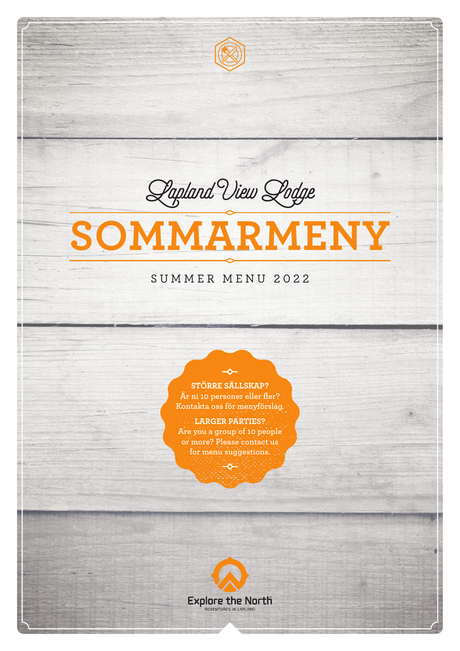

## **SOMMARMENY**

## SUMMER MENU 2022

**STÖRRE SÄLLSKAP? Är ni 10 personer eller fler? Kontakta oss för menyförslag. LARGER PARTIES? Are you a group of 10 people or more? Please contact us for menu suggestions.**

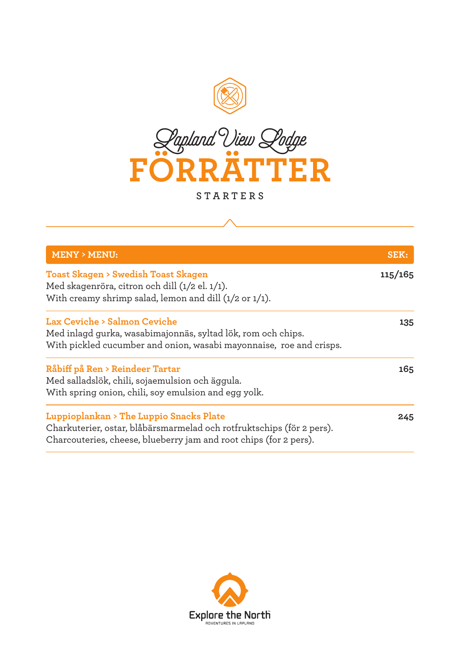

**STARTERS**

| <b>MENY &gt; MENU:</b>                                                                                                                                                                | SEK:    |
|---------------------------------------------------------------------------------------------------------------------------------------------------------------------------------------|---------|
| Toast Skagen > Swedish Toast Skagen<br>Med skagenröra, citron och dill (1/2 el. 1/1).<br>With creamy shrimp salad, lemon and dill (1/2 or 1/1).                                       | 115/165 |
| Lax Ceviche > Salmon Ceviche<br>Med inlagd gurka, wasabimajonnäs, syltad lök, rom och chips.<br>With pickled cucumber and onion, wasabi mayonnaise, roe and crisps.                   | 135     |
| Råbiff på Ren > Reindeer Tartar<br>Med salladslök, chili, sojaemulsion och äggula.<br>With spring onion, chili, soy emulsion and egg yolk.                                            | 165     |
| Luppioplankan > The Luppio Snacks Plate<br>Charkuterier, ostar, blåbärsmarmelad och rotfruktschips (för 2 pers).<br>Charcouteries, cheese, blueberry jam and root chips (for 2 pers). | 245     |

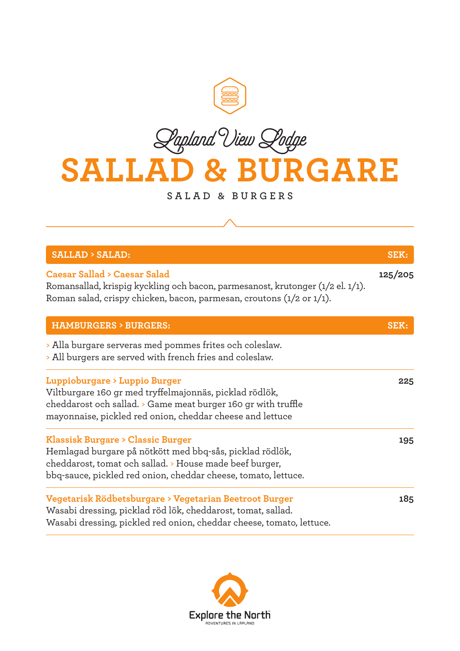

**SALAD & BURGERS**

| <b>SALLAD &gt; SALAD:</b>                                                                                                                                                                                                  | SEK:    |
|----------------------------------------------------------------------------------------------------------------------------------------------------------------------------------------------------------------------------|---------|
| Caesar Sallad > Caesar Salad<br>Romansallad, krispig kyckling och bacon, parmesanost, krutonger (1/2 el. 1/1).<br>Roman salad, crispy chicken, bacon, parmesan, croutons (1/2 or 1/1).                                     | 125/205 |
| <b>HAMBURGERS &gt; BURGERS:</b>                                                                                                                                                                                            | SEK:    |
| > Alla burgare serveras med pommes frites och coleslaw.<br>> All burgers are served with french fries and coleslaw.                                                                                                        |         |
| Luppioburgare > Luppio Burger<br>Viltburgare 160 gr med tryffelmajonnäs, picklad rödlök,<br>cheddarost och sallad. > Game meat burger 160 gr with truffle<br>mayonnaise, pickled red onion, cheddar cheese and lettuce     | 225     |
| Klassisk Burgare > Classic Burger<br>Hemlagad burgare på nötkött med bbq-sås, picklad rödlök,<br>cheddarost, tomat och sallad. > House made beef burger,<br>bbq-sauce, pickled red onion, cheddar cheese, tomato, lettuce. | 195     |
| Vegetarisk Rödbetsburgare > Vegetarian Beetroot Burger<br>Wasabi dressing, picklad röd lök, cheddarost, tomat, sallad.<br>Wasabi dressing, pickled red onion, cheddar cheese, tomato, lettuce.                             | 185     |

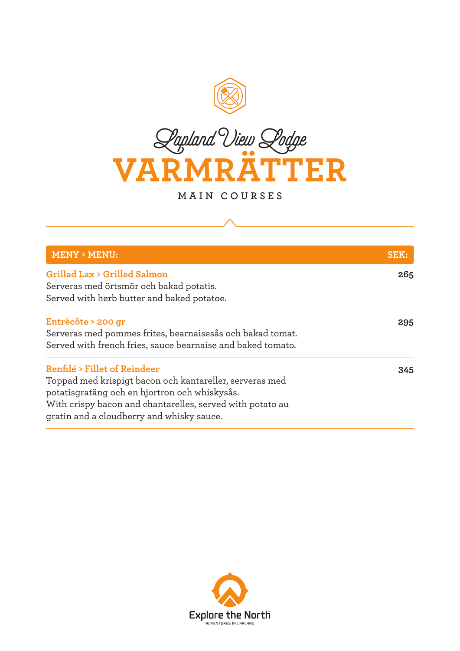

**MAIN COURSES**

| <b>MENY &gt; MENU:</b>                                                                                                                                                                                                                             | SEK: |
|----------------------------------------------------------------------------------------------------------------------------------------------------------------------------------------------------------------------------------------------------|------|
| Grillad Lax > Grilled Salmon<br>Serveras med örtsmör och bakad potatis.<br>Served with herb butter and baked potatoe.                                                                                                                              | 265  |
| Entrècôte > 200 gr<br>Serveras med pommes frites, bearnaisesås och bakad tomat.<br>Served with french fries, sauce bearnaise and baked tomato.                                                                                                     | 295  |
| Renfilé > Fillet of Reindeer<br>Toppad med krispigt bacon och kantareller, serveras med<br>potatisgratäng och en hjortron och whiskysås.<br>With crispy bacon and chantarelles, served with potato au<br>gratin and a cloudberry and whisky sauce. | 345  |

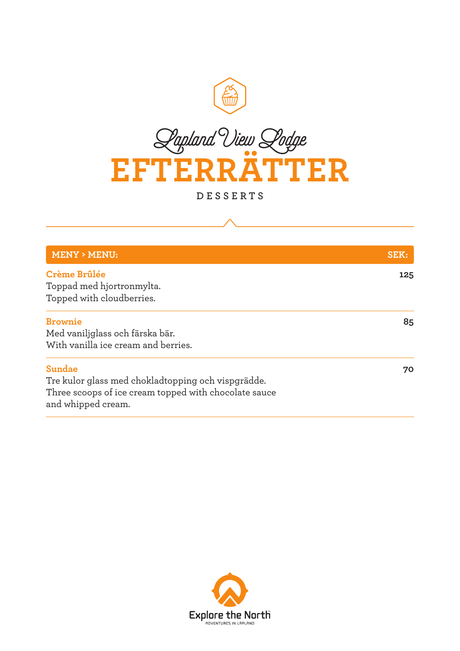

**DESSERTS**

| <b>MENY &gt; MENU:</b>                                                                                                                      | SEK: |
|---------------------------------------------------------------------------------------------------------------------------------------------|------|
| Crème Brûlée<br>Toppad med hjortronmylta.<br>Topped with cloudberries.                                                                      | 125  |
| <b>Brownie</b><br>Med vaniliglass och färska bär.<br>With vanilla ice cream and berries.                                                    | 85   |
| Sundae<br>Tre kulor glass med chokladtopping och vispgrädde.<br>Three scoops of ice cream topped with chocolate sauce<br>and whipped cream. | 70   |